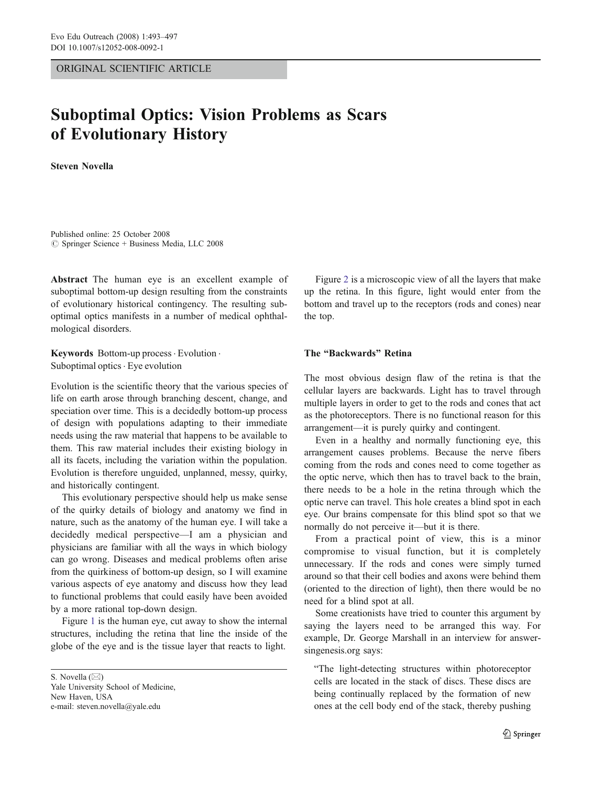ORIGINAL SCIENTIFIC ARTICLE

# Suboptimal Optics: Vision Problems as Scars of Evolutionary History

Steven Novella

Published online: 25 October 2008  $\circ$  Springer Science + Business Media, LLC 2008

Abstract The human eye is an excellent example of suboptimal bottom-up design resulting from the constraints of evolutionary historical contingency. The resulting suboptimal optics manifests in a number of medical ophthalmological disorders.

Keywords Bottom-up process. Evolution . Suboptimal optics  $\cdot$  Eye evolution

Evolution is the scientific theory that the various species of life on earth arose through branching descent, change, and speciation over time. This is a decidedly bottom-up process of design with populations adapting to their immediate needs using the raw material that happens to be available to them. This raw material includes their existing biology in all its facets, including the variation within the population. Evolution is therefore unguided, unplanned, messy, quirky, and historically contingent.

This evolutionary perspective should help us make sense of the quirky details of biology and anatomy we find in nature, such as the anatomy of the human eye. I will take a decidedly medical perspective—I am a physician and physicians are familiar with all the ways in which biology can go wrong. Diseases and medical problems often arise from the quirkiness of bottom-up design, so I will examine various aspects of eye anatomy and discuss how they lead to functional problems that could easily have been avoided by a more rational top-down design.

Figure [1](#page-1-0) is the human eye, cut away to show the internal structures, including the retina that line the inside of the globe of the eye and is the tissue layer that reacts to light.

Figure [2](#page-1-0) is a microscopic view of all the layers that make up the retina. In this figure, light would enter from the bottom and travel up to the receptors (rods and cones) near the top.

## The "Backwards" Retina

The most obvious design flaw of the retina is that the cellular layers are backwards. Light has to travel through multiple layers in order to get to the rods and cones that act as the photoreceptors. There is no functional reason for this arrangement—it is purely quirky and contingent.

Even in a healthy and normally functioning eye, this arrangement causes problems. Because the nerve fibers coming from the rods and cones need to come together as the optic nerve, which then has to travel back to the brain, there needs to be a hole in the retina through which the optic nerve can travel. This hole creates a blind spot in each eye. Our brains compensate for this blind spot so that we normally do not perceive it—but it is there.

From a practical point of view, this is a minor compromise to visual function, but it is completely unnecessary. If the rods and cones were simply turned around so that their cell bodies and axons were behind them (oriented to the direction of light), then there would be no need for a blind spot at all.

Some creationists have tried to counter this argument by saying the layers need to be arranged this way. For example, Dr. George Marshall in an interview for answersingenesis.org says:

"The light-detecting structures within photoreceptor cells are located in the stack of discs. These discs are being continually replaced by the formation of new ones at the cell body end of the stack, thereby pushing

S. Novella (⊠) Yale University School of Medicine, New Haven, USA e-mail: steven.novella@yale.edu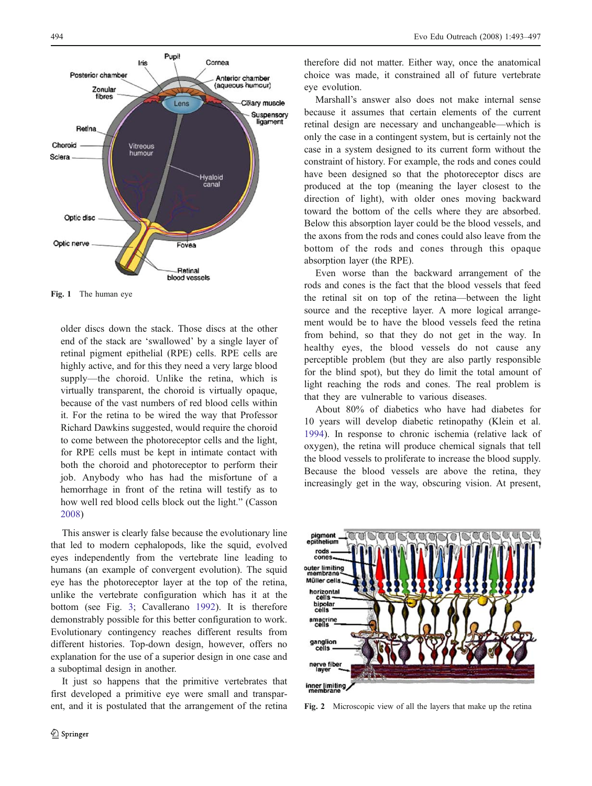<span id="page-1-0"></span>

Fig. 1 The human eye

older discs down the stack. Those discs at the other end of the stack are 'swallowed' by a single layer of retinal pigment epithelial (RPE) cells. RPE cells are highly active, and for this they need a very large blood supply—the choroid. Unlike the retina, which is virtually transparent, the choroid is virtually opaque, because of the vast numbers of red blood cells within it. For the retina to be wired the way that Professor Richard Dawkins suggested, would require the choroid to come between the photoreceptor cells and the light, for RPE cells must be kept in intimate contact with both the choroid and photoreceptor to perform their job. Anybody who has had the misfortune of a hemorrhage in front of the retina will testify as to how well red blood cells block out the light." (Casson [2008\)](#page-4-0)

This answer is clearly false because the evolutionary line that led to modern cephalopods, like the squid, evolved eyes independently from the vertebrate line leading to humans (an example of convergent evolution). The squid eye has the photoreceptor layer at the top of the retina, unlike the vertebrate configuration which has it at the bottom (see Fig. [3](#page-2-0); Cavallerano [1992\)](#page-4-0). It is therefore demonstrably possible for this better configuration to work. Evolutionary contingency reaches different results from different histories. Top-down design, however, offers no explanation for the use of a superior design in one case and a suboptimal design in another.

It just so happens that the primitive vertebrates that first developed a primitive eye were small and transparent, and it is postulated that the arrangement of the retina

therefore did not matter. Either way, once the anatomical choice was made, it constrained all of future vertebrate eye evolution.

Marshall's answer also does not make internal sense because it assumes that certain elements of the current retinal design are necessary and unchangeable—which is only the case in a contingent system, but is certainly not the case in a system designed to its current form without the constraint of history. For example, the rods and cones could have been designed so that the photoreceptor discs are produced at the top (meaning the layer closest to the direction of light), with older ones moving backward toward the bottom of the cells where they are absorbed. Below this absorption layer could be the blood vessels, and the axons from the rods and cones could also leave from the bottom of the rods and cones through this opaque absorption layer (the RPE).

Even worse than the backward arrangement of the rods and cones is the fact that the blood vessels that feed the retinal sit on top of the retina—between the light source and the receptive layer. A more logical arrangement would be to have the blood vessels feed the retina from behind, so that they do not get in the way. In healthy eyes, the blood vessels do not cause any perceptible problem (but they are also partly responsible for the blind spot), but they do limit the total amount of light reaching the rods and cones. The real problem is that they are vulnerable to various diseases.

About 80% of diabetics who have had diabetes for 10 years will develop diabetic retinopathy (Klein et al. [1994](#page-4-0)). In response to chronic ischemia (relative lack of oxygen), the retina will produce chemical signals that tell the blood vessels to proliferate to increase the blood supply. Because the blood vessels are above the retina, they increasingly get in the way, obscuring vision. At present,



Fig. 2 Microscopic view of all the layers that make up the retina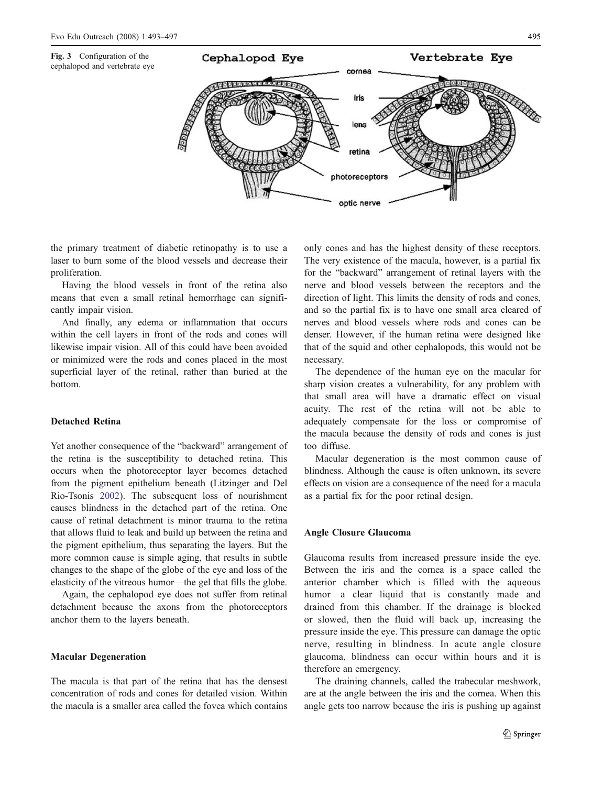<span id="page-2-0"></span>

the primary treatment of diabetic retinopathy is to use a laser to burn some of the blood vessels and decrease their proliferation.

Having the blood vessels in front of the retina also means that even a small retinal hemorrhage can significantly impair vision.

And finally, any edema or inflammation that occurs within the cell layers in front of the rods and cones will likewise impair vision. All of this could have been avoided or minimized were the rods and cones placed in the most superficial layer of the retinal, rather than buried at the bottom.

## Detached Retina

Yet another consequence of the "backward" arrangement of the retina is the susceptibility to detached retina. This occurs when the photoreceptor layer becomes detached from the pigment epithelium beneath (Litzinger and Del Rio-Tsonis [2002](#page-4-0)). The subsequent loss of nourishment causes blindness in the detached part of the retina. One cause of retinal detachment is minor trauma to the retina that allows fluid to leak and build up between the retina and the pigment epithelium, thus separating the layers. But the more common cause is simple aging, that results in subtle changes to the shape of the globe of the eye and loss of the elasticity of the vitreous humor—the gel that fills the globe.

Again, the cephalopod eye does not suffer from retinal detachment because the axons from the photoreceptors anchor them to the layers beneath.

## Macular Degeneration

The macula is that part of the retina that has the densest concentration of rods and cones for detailed vision. Within the macula is a smaller area called the fovea which contains only cones and has the highest density of these receptors. The very existence of the macula, however, is a partial fix for the "backward" arrangement of retinal layers with the nerve and blood vessels between the receptors and the direction of light. This limits the density of rods and cones, and so the partial fix is to have one small area cleared of nerves and blood vessels where rods and cones can be denser. However, if the human retina were designed like that of the squid and other cephalopods, this would not be necessary.

The dependence of the human eye on the macular for sharp vision creates a vulnerability, for any problem with that small area will have a dramatic effect on visual acuity. The rest of the retina will not be able to adequately compensate for the loss or compromise of the macula because the density of rods and cones is just too diffuse.

Macular degeneration is the most common cause of blindness. Although the cause is often unknown, its severe effects on vision are a consequence of the need for a macula as a partial fix for the poor retinal design.

### Angle Closure Glaucoma

Glaucoma results from increased pressure inside the eye. Between the iris and the cornea is a space called the anterior chamber which is filled with the aqueous humor—a clear liquid that is constantly made and drained from this chamber. If the drainage is blocked or slowed, then the fluid will back up, increasing the pressure inside the eye. This pressure can damage the optic nerve, resulting in blindness. In acute angle closure glaucoma, blindness can occur within hours and it is therefore an emergency.

The draining channels, called the trabecular meshwork, are at the angle between the iris and the cornea. When this angle gets too narrow because the iris is pushing up against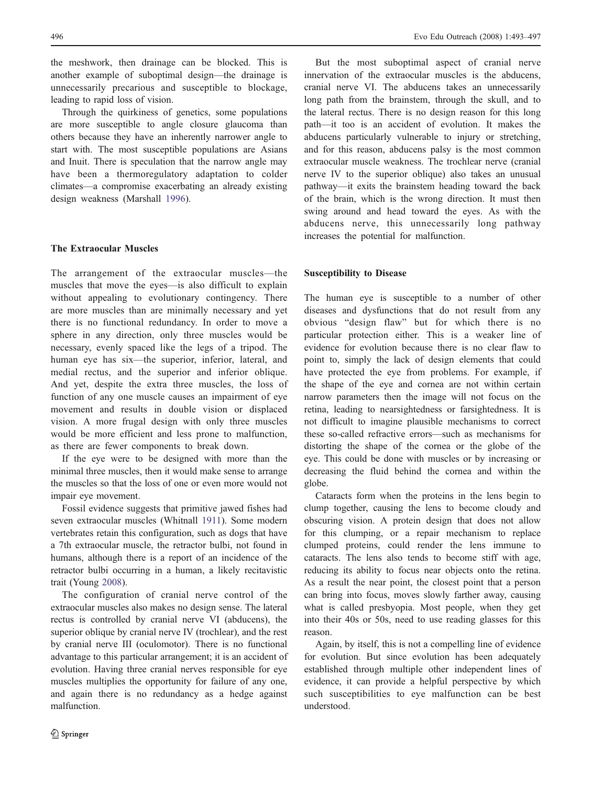the meshwork, then drainage can be blocked. This is another example of suboptimal design—the drainage is unnecessarily precarious and susceptible to blockage, leading to rapid loss of vision.

Through the quirkiness of genetics, some populations are more susceptible to angle closure glaucoma than others because they have an inherently narrower angle to start with. The most susceptible populations are Asians and Inuit. There is speculation that the narrow angle may have been a thermoregulatory adaptation to colder climates—a compromise exacerbating an already existing design weakness (Marshall [1996\)](#page-4-0).

### The Extraocular Muscles

The arrangement of the extraocular muscles—the muscles that move the eyes—is also difficult to explain without appealing to evolutionary contingency. There are more muscles than are minimally necessary and yet there is no functional redundancy. In order to move a sphere in any direction, only three muscles would be necessary, evenly spaced like the legs of a tripod. The human eye has six—the superior, inferior, lateral, and medial rectus, and the superior and inferior oblique. And yet, despite the extra three muscles, the loss of function of any one muscle causes an impairment of eye movement and results in double vision or displaced vision. A more frugal design with only three muscles would be more efficient and less prone to malfunction, as there are fewer components to break down.

If the eye were to be designed with more than the minimal three muscles, then it would make sense to arrange the muscles so that the loss of one or even more would not impair eye movement.

Fossil evidence suggests that primitive jawed fishes had seven extraocular muscles (Whitnall [1911\)](#page-4-0). Some modern vertebrates retain this configuration, such as dogs that have a 7th extraocular muscle, the retractor bulbi, not found in humans, although there is a report of an incidence of the retractor bulbi occurring in a human, a likely recitavistic trait (Young [2008\)](#page-4-0).

The configuration of cranial nerve control of the extraocular muscles also makes no design sense. The lateral rectus is controlled by cranial nerve VI (abducens), the superior oblique by cranial nerve IV (trochlear), and the rest by cranial nerve III (oculomotor). There is no functional advantage to this particular arrangement; it is an accident of evolution. Having three cranial nerves responsible for eye muscles multiplies the opportunity for failure of any one, and again there is no redundancy as a hedge against malfunction.

But the most suboptimal aspect of cranial nerve innervation of the extraocular muscles is the abducens, cranial nerve VI. The abducens takes an unnecessarily long path from the brainstem, through the skull, and to the lateral rectus. There is no design reason for this long path—it too is an accident of evolution. It makes the abducens particularly vulnerable to injury or stretching, and for this reason, abducens palsy is the most common extraocular muscle weakness. The trochlear nerve (cranial nerve IV to the superior oblique) also takes an unusual pathway—it exits the brainstem heading toward the back of the brain, which is the wrong direction. It must then swing around and head toward the eyes. As with the abducens nerve, this unnecessarily long pathway increases the potential for malfunction.

## Susceptibility to Disease

The human eye is susceptible to a number of other diseases and dysfunctions that do not result from any obvious "design flaw" but for which there is no particular protection either. This is a weaker line of evidence for evolution because there is no clear flaw to point to, simply the lack of design elements that could have protected the eye from problems. For example, if the shape of the eye and cornea are not within certain narrow parameters then the image will not focus on the retina, leading to nearsightedness or farsightedness. It is not difficult to imagine plausible mechanisms to correct these so-called refractive errors—such as mechanisms for distorting the shape of the cornea or the globe of the eye. This could be done with muscles or by increasing or decreasing the fluid behind the cornea and within the globe.

Cataracts form when the proteins in the lens begin to clump together, causing the lens to become cloudy and obscuring vision. A protein design that does not allow for this clumping, or a repair mechanism to replace clumped proteins, could render the lens immune to cataracts. The lens also tends to become stiff with age, reducing its ability to focus near objects onto the retina. As a result the near point, the closest point that a person can bring into focus, moves slowly farther away, causing what is called presbyopia. Most people, when they get into their 40s or 50s, need to use reading glasses for this reason.

Again, by itself, this is not a compelling line of evidence for evolution. But since evolution has been adequately established through multiple other independent lines of evidence, it can provide a helpful perspective by which such susceptibilities to eye malfunction can be best understood.